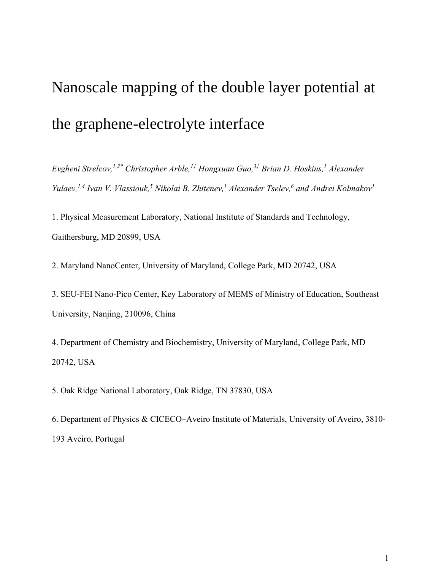# Nanoscale mapping of the double layer potential at the graphene-electrolyte interface

*Evgheni Strelcov,1,2\* Christopher Arble,<sup>1</sup>‡ Hongxuan Guo,<sup>3</sup>‡ Brian D. Hoskins,<sup>1</sup> Alexander Yulaev,1,4 Ivan V. Vlassiouk,<sup>5</sup> Nikolai B. Zhitenev,<sup>1</sup> Alexander Tselev,<sup>6</sup> and Andrei Kolmakov<sup>1</sup>*

1. Physical Measurement Laboratory, National Institute of Standards and Technology, Gaithersburg, MD 20899, USA

2. Maryland NanoCenter, University of Maryland, College Park, MD 20742, USA

3. SEU-FEI Nano-Pico Center, Key Laboratory of MEMS of Ministry of Education, Southeast University, Nanjing, 210096, China

4. Department of Chemistry and Biochemistry, University of Maryland, College Park, MD 20742, USA

5. Oak Ridge National Laboratory, Oak Ridge, TN 37830, USA

6. Department of Physics & CICECO–Aveiro Institute of Materials, University of Aveiro, 3810- 193 Aveiro, Portugal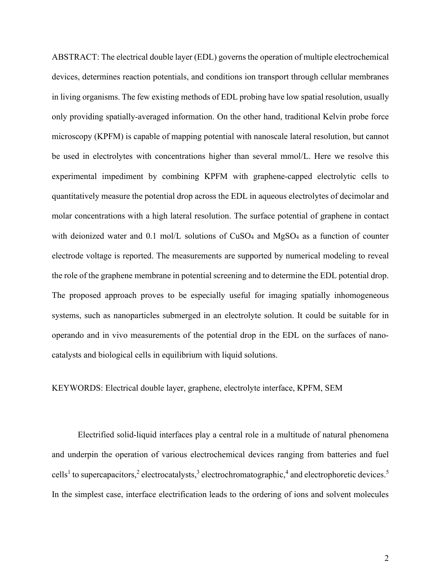ABSTRACT: The electrical double layer (EDL) governs the operation of multiple electrochemical devices, determines reaction potentials, and conditions ion transport through cellular membranes in living organisms. The few existing methods of EDL probing have low spatial resolution, usually only providing spatially-averaged information. On the other hand, traditional Kelvin probe force microscopy (KPFM) is capable of mapping potential with nanoscale lateral resolution, but cannot be used in electrolytes with concentrations higher than several mmol/L. Here we resolve this experimental impediment by combining KPFM with graphene-capped electrolytic cells to quantitatively measure the potential drop across the EDL in aqueous electrolytes of decimolar and molar concentrations with a high lateral resolution. The surface potential of graphene in contact with deionized water and 0.1 mol/L solutions of CuSO<sub>4</sub> and MgSO<sub>4</sub> as a function of counter electrode voltage is reported. The measurements are supported by numerical modeling to reveal the role of the graphene membrane in potential screening and to determine the EDL potential drop. The proposed approach proves to be especially useful for imaging spatially inhomogeneous systems, such as nanoparticles submerged in an electrolyte solution. It could be suitable for in operando and in vivo measurements of the potential drop in the EDL on the surfaces of nanocatalysts and biological cells in equilibrium with liquid solutions.

### KEYWORDS: Electrical double layer, graphene, electrolyte interface, KPFM, SEM

Electrified solid-liquid interfaces play a central role in a multitude of natural phenomena and underpin the operation of various electrochemical devices ranging from batteries and fuel cells<sup>1</sup> to supercapacitors,<sup>2</sup> electrocatalysts,<sup>3</sup> electrochromatographic,<sup>4</sup> and electrophoretic devices.<sup>5</sup> In the simplest case, interface electrification leads to the ordering of ions and solvent molecules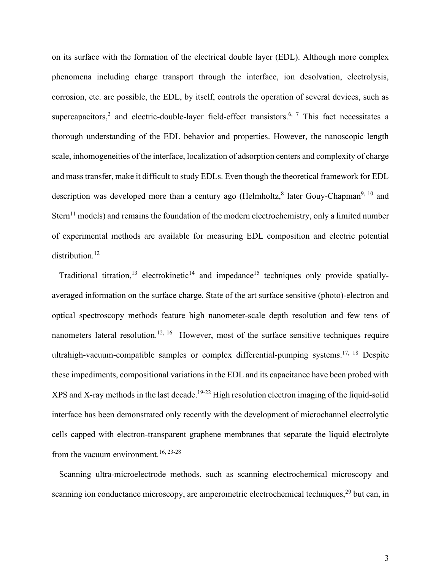on its surface with the formation of the electrical double layer (EDL). Although more complex phenomena including charge transport through the interface, ion desolvation, electrolysis, corrosion, etc. are possible, the EDL, by itself, controls the operation of several devices, such as supercapacitors,<sup>2</sup> and electric-double-layer field-effect transistors.<sup>6, 7</sup> This fact necessitates a thorough understanding of the EDL behavior and properties. However, the nanoscopic length scale, inhomogeneities of the interface, localization of adsorption centers and complexity of charge and mass transfer, make it difficult to study EDLs. Even though the theoretical framework for EDL description was developed more than a century ago (Helmholtz, a later Gouy-Chapman<sup>9, 10</sup> and Stern<sup>11</sup> models) and remains the foundation of the modern electrochemistry, only a limited number of experimental methods are available for measuring EDL composition and electric potential distribution. 12

Traditional titration,<sup>13</sup> electrokinetic<sup>14</sup> and impedance<sup>15</sup> techniques only provide spatiallyaveraged information on the surface charge. State of the art surface sensitive (photo)-electron and optical spectroscopy methods feature high nanometer-scale depth resolution and few tens of nanometers lateral resolution.<sup>12, 16</sup> However, most of the surface sensitive techniques require ultrahigh-vacuum-compatible samples or complex differential-pumping systems.<sup>17, 18</sup> Despite these impediments, compositional variations in the EDL and its capacitance have been probed with  $XPS$  and  $X$ -ray methods in the last decade.<sup>19-22</sup> High resolution electron imaging of the liquid-solid interface has been demonstrated only recently with the development of microchannel electrolytic cells capped with electron-transparent graphene membranes that separate the liquid electrolyte from the vacuum environment.<sup>16, 23-28</sup>

Scanning ultra-microelectrode methods, such as scanning electrochemical microscopy and scanning ion conductance microscopy, are amperometric electrochemical techniques,<sup>29</sup> but can, in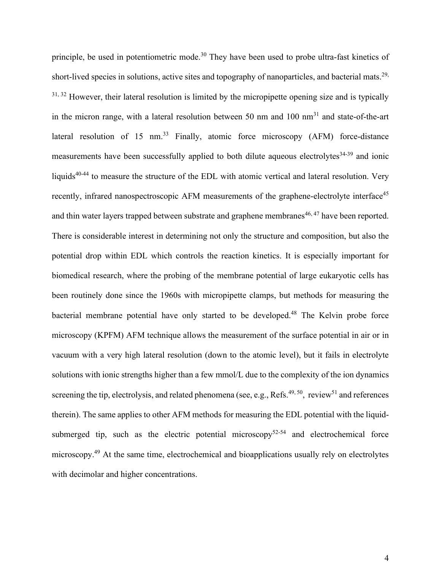principle, be used in potentiometric mode.<sup>30</sup> They have been used to probe ultra-fast kinetics of short-lived species in solutions, active sites and topography of nanoparticles, and bacterial mats.<sup>29,</sup>  $31, 32$  However, their lateral resolution is limited by the micropipette opening size and is typically in the micron range, with a lateral resolution between 50 nm and  $100 \text{ nm}^{31}$  and state-of-the-art lateral resolution of 15 nm.<sup>33</sup> Finally, atomic force microscopy  $(AFM)$  force-distance measurements have been successfully applied to both dilute aqueous electrolytes $34-39$  and ionic liquids<sup>40-44</sup> to measure the structure of the EDL with atomic vertical and lateral resolution. Very recently, infrared nanospectroscopic AFM measurements of the graphene-electrolyte interface<sup>45</sup> and thin water layers trapped between substrate and graphene membranes<sup>46, 47</sup> have been reported. There is considerable interest in determining not only the structure and composition, but also the potential drop within EDL which controls the reaction kinetics. It is especially important for biomedical research, where the probing of the membrane potential of large eukaryotic cells has been routinely done since the 1960s with micropipette clamps, but methods for measuring the bacterial membrane potential have only started to be developed.<sup>48</sup> The Kelvin probe force microscopy (KPFM) AFM technique allows the measurement of the surface potential in air or in vacuum with a very high lateral resolution (down to the atomic level), but it fails in electrolyte solutions with ionic strengths higher than a few mmol/L due to the complexity of the ion dynamics screening the tip, electrolysis, and related phenomena (see, e.g., Refs.<sup>49, 50</sup>, review<sup>51</sup> and references therein). The same applies to other AFM methods for measuring the EDL potential with the liquidsubmerged tip, such as the electric potential microscopy $52-54$  and electrochemical force microscopy.<sup>49</sup> At the same time, electrochemical and bioapplications usually rely on electrolytes with decimolar and higher concentrations.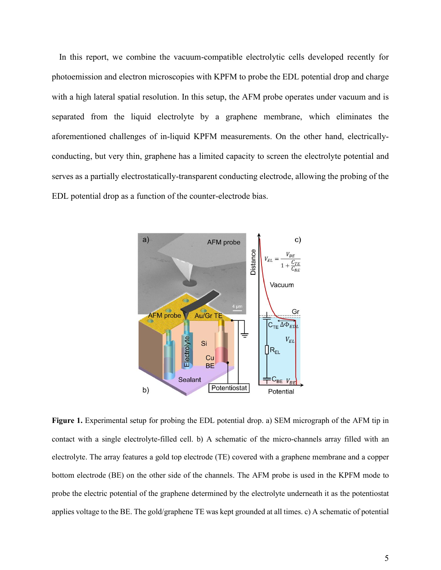In this report, we combine the vacuum-compatible electrolytic cells developed recently for photoemission and electron microscopies with KPFM to probe the EDL potential drop and charge with a high lateral spatial resolution. In this setup, the AFM probe operates under vacuum and is separated from the liquid electrolyte by a graphene membrane, which eliminates the aforementioned challenges of in-liquid KPFM measurements. On the other hand, electricallyconducting, but very thin, graphene has a limited capacity to screen the electrolyte potential and serves as a partially electrostatically-transparent conducting electrode, allowing the probing of the EDL potential drop as a function of the counter-electrode bias.



**Figure 1.** Experimental setup for probing the EDL potential drop. a) SEM micrograph of the AFM tip in contact with a single electrolyte-filled cell. b) A schematic of the micro-channels array filled with an electrolyte. The array features a gold top electrode (TE) covered with a graphene membrane and a copper bottom electrode (BE) on the other side of the channels. The AFM probe is used in the KPFM mode to probe the electric potential of the graphene determined by the electrolyte underneath it as the potentiostat applies voltage to the BE. The gold/graphene TE was kept grounded at all times. c) A schematic of potential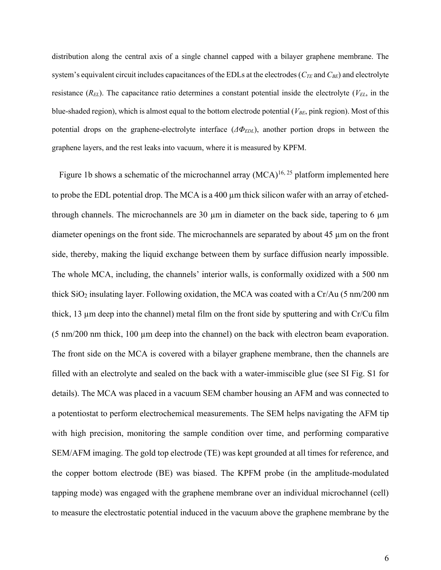distribution along the central axis of a single channel capped with a bilayer graphene membrane. The system's equivalent circuit includes capacitances of the EDLs at the electrodes (*CTE* and *CBE*) and electrolyte resistance (*REL*). The capacitance ratio determines a constant potential inside the electrolyte (*VEL*, in the blue-shaded region), which is almost equal to the bottom electrode potential (*VBE*, pink region). Most of this potential drops on the graphene-electrolyte interface (*ΔΦEDL*), another portion drops in between the graphene layers, and the rest leaks into vacuum, where it is measured by KPFM.

Figure 1b shows a schematic of the microchannel array  $(MCA)^{16, 25}$  platform implemented here to probe the EDL potential drop. The MCA is a 400 µm thick silicon wafer with an array of etchedthrough channels. The microchannels are 30  $\mu$ m in diameter on the back side, tapering to 6  $\mu$ m diameter openings on the front side. The microchannels are separated by about 45 µm on the front side, thereby, making the liquid exchange between them by surface diffusion nearly impossible. The whole MCA, including, the channels' interior walls, is conformally oxidized with a 500 nm thick  $SiO<sub>2</sub>$  insulating layer. Following oxidation, the MCA was coated with a Cr/Au (5 nm/200 nm thick, 13 µm deep into the channel) metal film on the front side by sputtering and with Cr/Cu film  $(5 \text{ nm}/200 \text{ nm}$  thick, 100  $\mu$ m deep into the channel) on the back with electron beam evaporation. The front side on the MCA is covered with a bilayer graphene membrane, then the channels are filled with an electrolyte and sealed on the back with a water-immiscible glue (see SI Fig. S1 for details). The MCA was placed in a vacuum SEM chamber housing an AFM and was connected to a potentiostat to perform electrochemical measurements. The SEM helps navigating the AFM tip with high precision, monitoring the sample condition over time, and performing comparative SEM/AFM imaging. The gold top electrode (TE) was kept grounded at all times for reference, and the copper bottom electrode (BE) was biased. The KPFM probe (in the amplitude-modulated tapping mode) was engaged with the graphene membrane over an individual microchannel (cell) to measure the electrostatic potential induced in the vacuum above the graphene membrane by the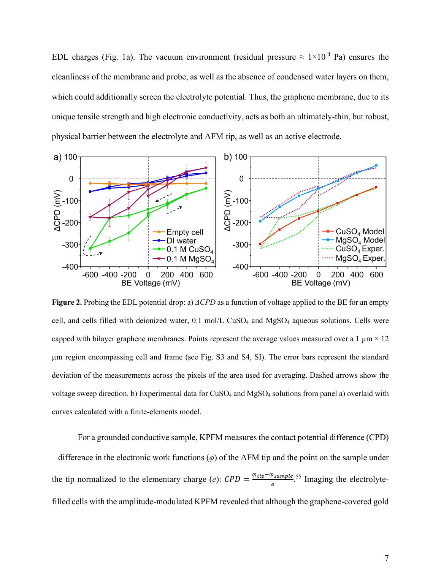EDL charges (Fig. 1a). The vacuum environment (residual pressure  $\approx 1 \times 10^{-4}$  Pa) ensures the cleanliness of the membrane and probe, as well as the absence of condensed water layers on them, which could additionally screen the electrolyte potential. Thus, the graphene membrane, due to its unique tensile strength and high electronic conductivity, acts as both an ultimately-thin, but robust, physical barrier between the electrolyte and AFM tip, as well as an active electrode.



**Figure 2.** Probing the EDL potential drop: a) *ΔCPD* as a function of voltage applied to the BE for an empty cell, and cells filled with deionized water, 0.1 mol/L CuSO<sub>4</sub> and MgSO<sub>4</sub> aqueous solutions. Cells were capped with bilayer graphene membranes. Points represent the average values measured over a 1  $\mu$ m  $\times$  12 µm region encompassing cell and frame (see Fig. S3 and S4, SI). The error bars represent the standard deviation of the measurements across the pixels of the area used for averaging. Dashed arrows show the voltage sweep direction. b) Experimental data for CuSO<sup>4</sup> and MgSO<sup>4</sup> solutions from panel a) overlaid with curves calculated with a finite-elements model.

For a grounded conductive sample, KPFM measures the contact potential difference (CPD) – difference in the electronic work functions (*φ*) of the AFM tip and the point on the sample under the tip normalized to the elementary charge (*e*):  $CPD = \frac{\varphi_{tip} - \varphi_{sample}}{2}$  $\frac{\textit{p<sub>sample}}{\textit{e}}</sub>$ .<sup>55</sup> Imaging the electrolytefilled cells with the amplitude-modulated KPFM revealed that although the graphene-covered gold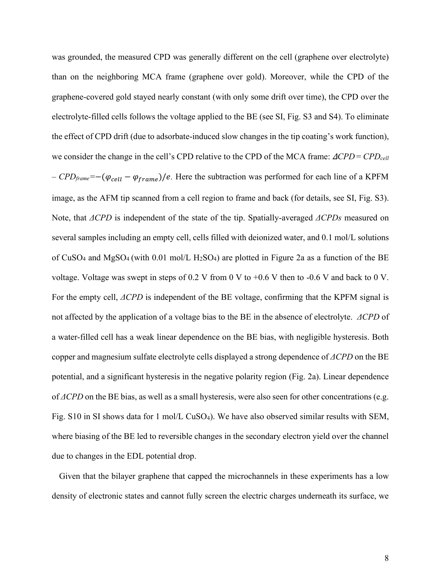was grounded, the measured CPD was generally different on the cell (graphene over electrolyte) than on the neighboring MCA frame (graphene over gold). Moreover, while the CPD of the graphene-covered gold stayed nearly constant (with only some drift over time), the CPD over the electrolyte-filled cells follows the voltage applied to the BE (see SI, Fig. S3 and S4). To eliminate the effect of CPD drift (due to adsorbate-induced slow changes in the tip coating's work function), we consider the change in the cell's CPD relative to the CPD of the MCA frame: Δ*CPD* = *CPDcell*  $-$  *CPD*<sub>frame</sub>=−( $φ_{cell} - φ_{frame}$ )/e. Here the subtraction was performed for each line of a KPFM image, as the AFM tip scanned from a cell region to frame and back (for details, see SI, Fig. S3). Note, that *ΔCPD* is independent of the state of the tip. Spatially-averaged *ΔCPDs* measured on several samples including an empty cell, cells filled with deionized water, and 0.1 mol/L solutions of CuSO<sub>4</sub> and MgSO<sub>4</sub> (with 0.01 mol/L H<sub>2</sub>SO<sub>4</sub>) are plotted in Figure 2a as a function of the BE voltage. Voltage was swept in steps of 0.2 V from 0 V to +0.6 V then to -0.6 V and back to 0 V. For the empty cell, *ΔCPD* is independent of the BE voltage, confirming that the KPFM signal is not affected by the application of a voltage bias to the BE in the absence of electrolyte. *ΔCPD* of a water-filled cell has a weak linear dependence on the BE bias, with negligible hysteresis. Both copper and magnesium sulfate electrolyte cells displayed a strong dependence of *ΔCPD* on the BE potential, and a significant hysteresis in the negative polarity region (Fig. 2a). Linear dependence of *ΔCPD* on the BE bias, as well as a small hysteresis, were also seen for other concentrations (e.g. Fig. S10 in SI shows data for 1 mol/L CuSO4). We have also observed similar results with SEM, where biasing of the BE led to reversible changes in the secondary electron yield over the channel due to changes in the EDL potential drop.

Given that the bilayer graphene that capped the microchannels in these experiments has a low density of electronic states and cannot fully screen the electric charges underneath its surface, we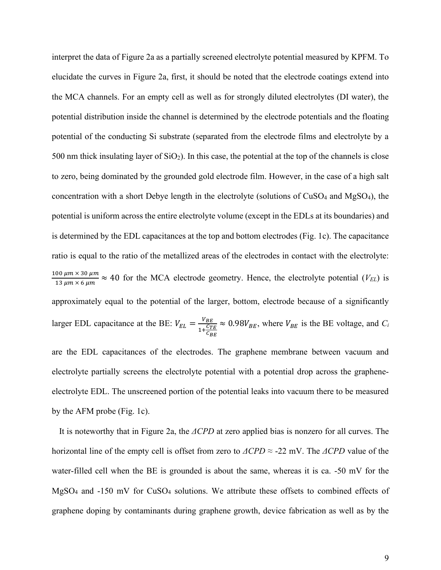interpret the data of Figure 2a as a partially screened electrolyte potential measured by KPFM. To elucidate the curves in Figure 2a, first, it should be noted that the electrode coatings extend into the MCA channels. For an empty cell as well as for strongly diluted electrolytes (DI water), the potential distribution inside the channel is determined by the electrode potentials and the floating potential of the conducting Si substrate (separated from the electrode films and electrolyte by a 500 nm thick insulating layer of  $SiO<sub>2</sub>$ ). In this case, the potential at the top of the channels is close to zero, being dominated by the grounded gold electrode film. However, in the case of a high salt concentration with a short Debye length in the electrolyte (solutions of  $CuSO<sub>4</sub>$  and  $MgSO<sub>4</sub>$ ), the potential is uniform across the entire electrolyte volume (except in the EDLs at its boundaries) and is determined by the EDL capacitances at the top and bottom electrodes (Fig. 1c). The capacitance ratio is equal to the ratio of the metallized areas of the electrodes in contact with the electrolyte:  $100 \ \mu m \times 30 \ \mu m$  $\frac{30 \mu m \times 30 \mu m}{13 \mu m \times 6 \mu m} \approx 40$  for the MCA electrode geometry. Hence, the electrolyte potential (*V<sub>EL</sub>*) is approximately equal to the potential of the larger, bottom, electrode because of a significantly larger EDL capacitance at the BE:  $V_{EL} = \frac{V_{BE}}{1 + C_T}$  $1+\frac{C_{TE}}{C}$  $c_{BE}$  $\approx 0.98V_{BE}$ , where  $V_{BE}$  is the BE voltage, and *C<sub>i</sub>* are the EDL capacitances of the electrodes. The graphene membrane between vacuum and electrolyte partially screens the electrolyte potential with a potential drop across the graphene-

by the AFM probe (Fig. 1c).

It is noteworthy that in Figure 2a, the *ΔCPD* at zero applied bias is nonzero for all curves. The horizontal line of the empty cell is offset from zero to *ΔCPD* ≈ -22 mV. The *ΔCPD* value of the water-filled cell when the BE is grounded is about the same, whereas it is ca. -50 mV for the MgSO<sup>4</sup> and -150 mV for CuSO<sup>4</sup> solutions. We attribute these offsets to combined effects of graphene doping by contaminants during graphene growth, device fabrication as well as by the

electrolyte EDL. The unscreened portion of the potential leaks into vacuum there to be measured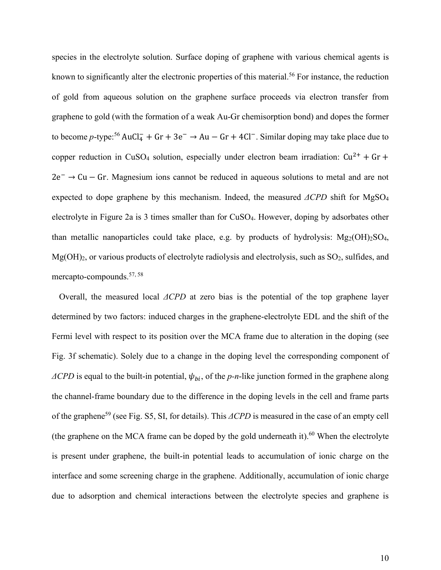species in the electrolyte solution. Surface doping of graphene with various chemical agents is known to significantly alter the electronic properties of this material.<sup>56</sup> For instance, the reduction of gold from aqueous solution on the graphene surface proceeds via electron transfer from graphene to gold (with the formation of a weak Au-Gr chemisorption bond) and dopes the former to become *p*-type:<sup>56</sup> AuCl<sub>4</sub> + Gr + 3e<sup>−</sup> → Au – Gr + 4Cl<sup>−</sup>. Similar doping may take place due to copper reduction in CuSO<sub>4</sub> solution, especially under electron beam irradiation:  $Cu^{2+} + Gr +$ 2e<sup>−</sup> → Cu − Gr. Magnesium ions cannot be reduced in aqueous solutions to metal and are not expected to dope graphene by this mechanism. Indeed, the measured *ΔCPD* shift for MgSO<sup>4</sup> electrolyte in Figure 2a is 3 times smaller than for CuSO4. However, doping by adsorbates other than metallic nanoparticles could take place, e.g. by products of hydrolysis:  $Mg_2(OH)_2SO_4$ ,  $Mg(OH)_2$ , or various products of electrolyte radiolysis and electrolysis, such as  $SO_2$ , sulfides, and mercapto-compounds.57, 58

Overall, the measured local *ΔCPD* at zero bias is the potential of the top graphene layer determined by two factors: induced charges in the graphene-electrolyte EDL and the shift of the Fermi level with respect to its position over the MCA frame due to alteration in the doping (see Fig. 3f schematic). Solely due to a change in the doping level the corresponding component of  $\Delta CPD$  is equal to the built-in potential,  $\psi_{bi}$ , of the *p*-n-like junction formed in the graphene along the channel-frame boundary due to the difference in the doping levels in the cell and frame parts of the graphene<sup>59</sup> (see Fig. S5, SI, for details). This *ΔCPD* is measured in the case of an empty cell (the graphene on the MCA frame can be doped by the gold underneath it).<sup>60</sup> When the electrolyte is present under graphene, the built-in potential leads to accumulation of ionic charge on the interface and some screening charge in the graphene. Additionally, accumulation of ionic charge due to adsorption and chemical interactions between the electrolyte species and graphene is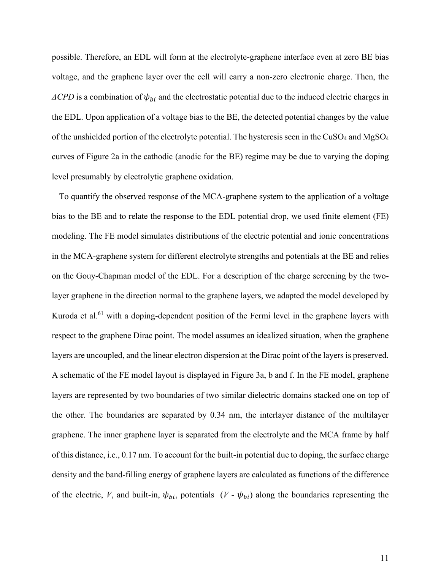possible. Therefore, an EDL will form at the electrolyte-graphene interface even at zero BE bias voltage, and the graphene layer over the cell will carry a non-zero electronic charge. Then, the  $\Delta CPD$  is a combination of  $\psi_{bi}$  and the electrostatic potential due to the induced electric charges in the EDL. Upon application of a voltage bias to the BE, the detected potential changes by the value of the unshielded portion of the electrolyte potential. The hysteresis seen in the CuSO<sub>4</sub> and MgSO<sub>4</sub> curves of Figure 2a in the cathodic (anodic for the BE) regime may be due to varying the doping level presumably by electrolytic graphene oxidation.

To quantify the observed response of the MCA-graphene system to the application of a voltage bias to the BE and to relate the response to the EDL potential drop, we used finite element (FE) modeling. The FE model simulates distributions of the electric potential and ionic concentrations in the MCA-graphene system for different electrolyte strengths and potentials at the BE and relies on the Gouy-Chapman model of the EDL. For a description of the charge screening by the twolayer graphene in the direction normal to the graphene layers, we adapted the model developed by Kuroda et al.<sup>61</sup> with a doping-dependent position of the Fermi level in the graphene layers with respect to the graphene Dirac point. The model assumes an idealized situation, when the graphene layers are uncoupled, and the linear electron dispersion at the Dirac point of the layers is preserved. A schematic of the FE model layout is displayed in Figure 3a, b and f. In the FE model, graphene layers are represented by two boundaries of two similar dielectric domains stacked one on top of the other. The boundaries are separated by 0.34 nm, the interlayer distance of the multilayer graphene. The inner graphene layer is separated from the electrolyte and the MCA frame by half of this distance, i.e., 0.17 nm. To account for the built-in potential due to doping, the surface charge density and the band-filling energy of graphene layers are calculated as functions of the difference of the electric, *V*, and built-in,  $\psi_{bi}$ , potentials  $(V - \psi_{bi})$  along the boundaries representing the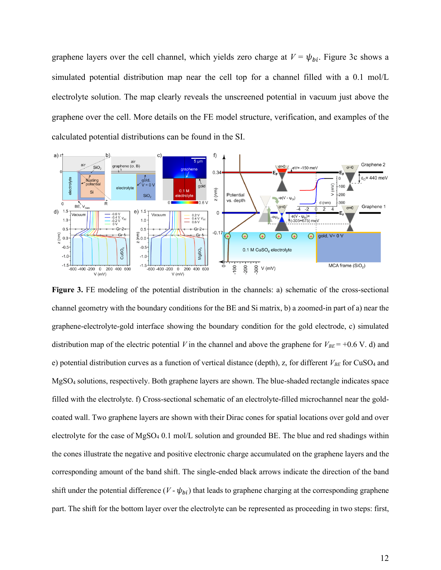graphene layers over the cell channel, which yields zero charge at  $V = \psi_{bi}$ . Figure 3c shows a simulated potential distribution map near the cell top for a channel filled with a 0.1 mol/L electrolyte solution. The map clearly reveals the unscreened potential in vacuum just above the graphene over the cell. More details on the FE model structure, verification, and examples of the calculated potential distributions can be found in the SI.



**Figure 3.** FE modeling of the potential distribution in the channels: a) schematic of the cross-sectional channel geometry with the boundary conditions for the BE and Si matrix, b) a zoomed-in part of a) near the graphene-electrolyte-gold interface showing the boundary condition for the gold electrode, c) simulated distribution map of the electric potential *V* in the channel and above the graphene for  $V_{BE}$  = +0.6 V. d) and e) potential distribution curves as a function of vertical distance (depth), z, for different  $V_{BE}$  for CuSO<sub>4</sub> and MgSO<sup>4</sup> solutions, respectively. Both graphene layers are shown. The blue-shaded rectangle indicates space filled with the electrolyte. f) Cross-sectional schematic of an electrolyte-filled microchannel near the goldcoated wall. Two graphene layers are shown with their Dirac cones for spatial locations over gold and over electrolyte for the case of MgSO<sup>4</sup> 0.1 mol/L solution and grounded BE. The blue and red shadings within the cones illustrate the negative and positive electronic charge accumulated on the graphene layers and the corresponding amount of the band shift. The single-ended black arrows indicate the direction of the band shift under the potential difference  $(V - \psi_{bi})$  that leads to graphene charging at the corresponding graphene part. The shift for the bottom layer over the electrolyte can be represented as proceeding in two steps: first,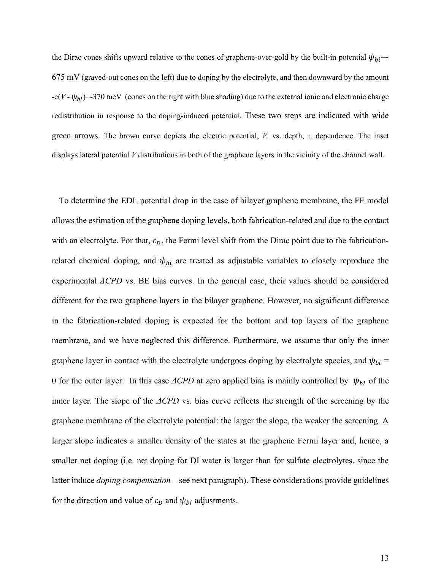the Dirac cones shifts upward relative to the cones of graphene-over-gold by the built-in potential  $\psi_{bi}$ =-675 mV (grayed-out cones on the left) due to doping by the electrolyte, and then downward by the amount  $-e(V - \psi_{bi}) = -370$  meV (cones on the right with blue shading) due to the external ionic and electronic charge redistribution in response to the doping-induced potential. These two steps are indicated with wide green arrows. The brown curve depicts the electric potential, *V,* vs. depth, *z,* dependence. The inset displays lateral potential *V* distributions in both of the graphene layers in the vicinity of the channel wall.

To determine the EDL potential drop in the case of bilayer graphene membrane, the FE model allows the estimation of the graphene doping levels, both fabrication-related and due to the contact with an electrolyte. For that,  $\varepsilon_D$ , the Fermi level shift from the Dirac point due to the fabricationrelated chemical doping, and  $\psi_{bi}$  are treated as adjustable variables to closely reproduce the experimental *ΔCPD* vs. BE bias curves. In the general case, their values should be considered different for the two graphene layers in the bilayer graphene. However, no significant difference in the fabrication-related doping is expected for the bottom and top layers of the graphene membrane, and we have neglected this difference. Furthermore, we assume that only the inner graphene layer in contact with the electrolyte undergoes doping by electrolyte species, and  $\psi_{bi}$  = 0 for the outer layer. In this case  $\triangle CPD$  at zero applied bias is mainly controlled by  $\psi_{bi}$  of the inner layer. The slope of the *ΔCPD* vs. bias curve reflects the strength of the screening by the graphene membrane of the electrolyte potential: the larger the slope, the weaker the screening. A larger slope indicates a smaller density of the states at the graphene Fermi layer and, hence, a smaller net doping (i.e. net doping for DI water is larger than for sulfate electrolytes, since the latter induce *doping compensation* – see next paragraph). These considerations provide guidelines for the direction and value of  $\varepsilon_D$  and  $\psi_{bi}$  adjustments.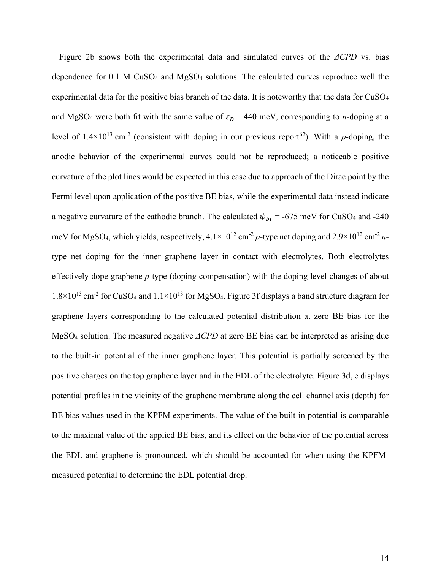Figure 2b shows both the experimental data and simulated curves of the *ΔCPD* vs. bias dependence for 0.1 M CuSO<sup>4</sup> and MgSO<sup>4</sup> solutions. The calculated curves reproduce well the experimental data for the positive bias branch of the data. It is noteworthy that the data for  $CuSO<sub>4</sub>$ and MgSO<sub>4</sub> were both fit with the same value of  $\varepsilon_D = 440$  meV, corresponding to *n*-doping at a level of  $1.4 \times 10^{13}$  cm<sup>-2</sup> (consistent with doping in our previous report<sup>62</sup>). With a *p*-doping, the anodic behavior of the experimental curves could not be reproduced; a noticeable positive curvature of the plot lines would be expected in this case due to approach of the Dirac point by the Fermi level upon application of the positive BE bias, while the experimental data instead indicate a negative curvature of the cathodic branch. The calculated  $\psi_{bi} = -675$  meV for CuSO<sub>4</sub> and -240 meV for MgSO<sub>4</sub>, which yields, respectively,  $4.1 \times 10^{12}$  cm<sup>-2</sup> p-type net doping and  $2.9 \times 10^{12}$  cm<sup>-2</sup> ntype net doping for the inner graphene layer in contact with electrolytes. Both electrolytes effectively dope graphene *p*-type (doping compensation) with the doping level changes of about  $1.8 \times 10^{13}$  cm<sup>-2</sup> for CuSO<sub>4</sub> and  $1.1 \times 10^{13}$  for MgSO<sub>4</sub>. Figure 3f displays a band structure diagram for graphene layers corresponding to the calculated potential distribution at zero BE bias for the MgSO<sup>4</sup> solution. The measured negative *ΔCPD* at zero BE bias can be interpreted as arising due to the built-in potential of the inner graphene layer. This potential is partially screened by the positive charges on the top graphene layer and in the EDL of the electrolyte. Figure 3d, e displays potential profiles in the vicinity of the graphene membrane along the cell channel axis (depth) for BE bias values used in the KPFM experiments. The value of the built-in potential is comparable to the maximal value of the applied BE bias, and its effect on the behavior of the potential across the EDL and graphene is pronounced, which should be accounted for when using the KPFMmeasured potential to determine the EDL potential drop.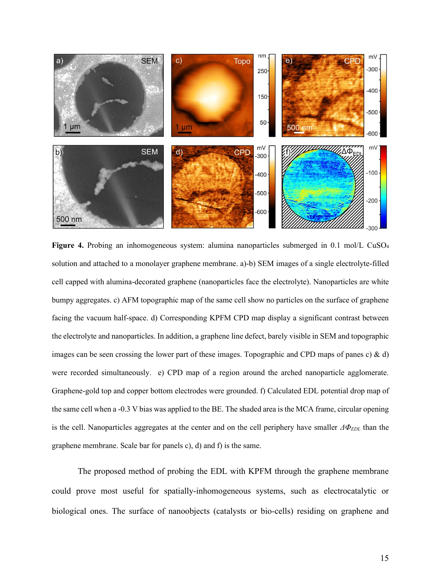

Figure 4. Probing an inhomogeneous system: alumina nanoparticles submerged in 0.1 mol/L CuSO<sub>4</sub> solution and attached to a monolayer graphene membrane. a)-b) SEM images of a single electrolyte-filled cell capped with alumina-decorated graphene (nanoparticles face the electrolyte). Nanoparticles are white bumpy aggregates. c) AFM topographic map of the same cell show no particles on the surface of graphene facing the vacuum half-space. d) Corresponding KPFM CPD map display a significant contrast between the electrolyte and nanoparticles. In addition, a graphene line defect, barely visible in SEM and topographic images can be seen crossing the lower part of these images. Topographic and CPD maps of panes c)  $\&$  d) were recorded simultaneously. e) CPD map of a region around the arched nanoparticle agglomerate. Graphene-gold top and copper bottom electrodes were grounded. f) Calculated EDL potential drop map of the same cell when a -0.3 V bias was applied to the BE. The shaded area is the MCA frame, circular opening is the cell. Nanoparticles aggregates at the center and on the cell periphery have smaller *ΔΦEDL* than the graphene membrane. Scale bar for panels c), d) and f) is the same.

The proposed method of probing the EDL with KPFM through the graphene membrane could prove most useful for spatially-inhomogeneous systems, such as electrocatalytic or biological ones. The surface of nanoobjects (catalysts or bio-cells) residing on graphene and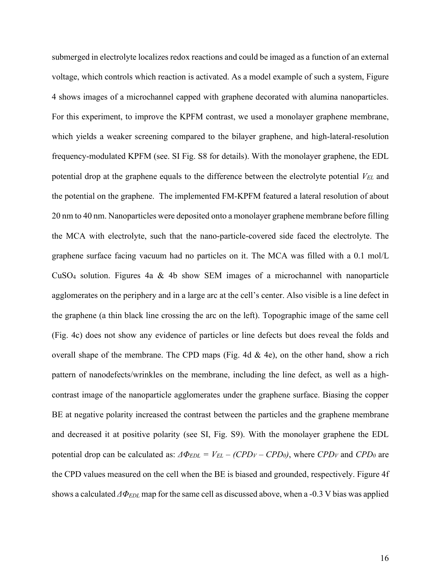submerged in electrolyte localizes redox reactions and could be imaged as a function of an external voltage, which controls which reaction is activated. As a model example of such a system, Figure 4 shows images of a microchannel capped with graphene decorated with alumina nanoparticles. For this experiment, to improve the KPFM contrast, we used a monolayer graphene membrane, which yields a weaker screening compared to the bilayer graphene, and high-lateral-resolution frequency-modulated KPFM (see. SI Fig. S8 for details). With the monolayer graphene, the EDL potential drop at the graphene equals to the difference between the electrolyte potential *VEL* and the potential on the graphene. The implemented FM-KPFM featured a lateral resolution of about 20 nm to 40 nm. Nanoparticles were deposited onto a monolayer graphene membrane before filling the MCA with electrolyte, such that the nano-particle-covered side faced the electrolyte. The graphene surface facing vacuum had no particles on it. The MCA was filled with a 0.1 mol/L CuSO<sup>4</sup> solution. Figures 4a & 4b show SEM images of a microchannel with nanoparticle agglomerates on the periphery and in a large arc at the cell's center. Also visible is a line defect in the graphene (a thin black line crossing the arc on the left). Topographic image of the same cell (Fig. 4c) does not show any evidence of particles or line defects but does reveal the folds and overall shape of the membrane. The CPD maps (Fig. 4d  $\&$  4e), on the other hand, show a rich pattern of nanodefects/wrinkles on the membrane, including the line defect, as well as a highcontrast image of the nanoparticle agglomerates under the graphene surface. Biasing the copper BE at negative polarity increased the contrast between the particles and the graphene membrane and decreased it at positive polarity (see SI, Fig. S9). With the monolayer graphene the EDL potential drop can be calculated as:  $\Delta \Phi_{EDL} = V_{EL} - (CPD_V - CPD_0)$ , where  $CPD_V$  and  $CPD_0$  are the CPD values measured on the cell when the BE is biased and grounded, respectively. Figure 4f shows a calculated *ΔΦEDL* map for the same cell as discussed above, when a -0.3 V bias was applied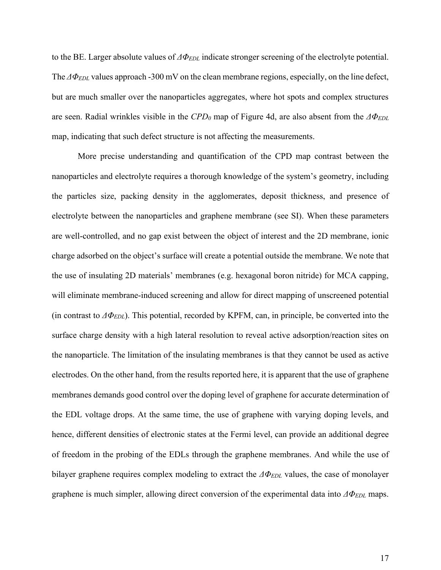to the BE. Larger absolute values of *ΔΦEDL* indicate stronger screening of the electrolyte potential. The *ΔΦEDL* values approach -300 mV on the clean membrane regions, especially, on the line defect, but are much smaller over the nanoparticles aggregates, where hot spots and complex structures are seen. Radial wrinkles visible in the *CPD<sup>0</sup>* map of Figure 4d, are also absent from the *ΔΦEDL* map, indicating that such defect structure is not affecting the measurements.

More precise understanding and quantification of the CPD map contrast between the nanoparticles and electrolyte requires a thorough knowledge of the system's geometry, including the particles size, packing density in the agglomerates, deposit thickness, and presence of electrolyte between the nanoparticles and graphene membrane (see SI). When these parameters are well-controlled, and no gap exist between the object of interest and the 2D membrane, ionic charge adsorbed on the object's surface will create a potential outside the membrane. We note that the use of insulating 2D materials' membranes (e.g. hexagonal boron nitride) for MCA capping, will eliminate membrane-induced screening and allow for direct mapping of unscreened potential (in contrast to *ΔΦEDL*). This potential, recorded by KPFM, can, in principle, be converted into the surface charge density with a high lateral resolution to reveal active adsorption/reaction sites on the nanoparticle. The limitation of the insulating membranes is that they cannot be used as active electrodes. On the other hand, from the results reported here, it is apparent that the use of graphene membranes demands good control over the doping level of graphene for accurate determination of the EDL voltage drops. At the same time, the use of graphene with varying doping levels, and hence, different densities of electronic states at the Fermi level, can provide an additional degree of freedom in the probing of the EDLs through the graphene membranes. And while the use of bilayer graphene requires complex modeling to extract the *ΔΦEDL* values, the case of monolayer graphene is much simpler, allowing direct conversion of the experimental data into *ΔΦEDL* maps.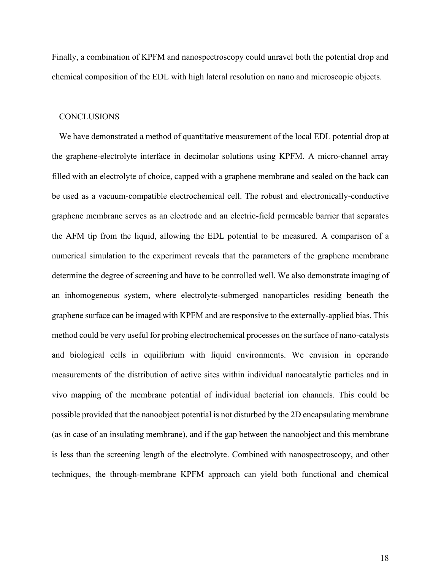Finally, a combination of KPFM and nanospectroscopy could unravel both the potential drop and chemical composition of the EDL with high lateral resolution on nano and microscopic objects.

#### **CONCLUSIONS**

We have demonstrated a method of quantitative measurement of the local EDL potential drop at the graphene-electrolyte interface in decimolar solutions using KPFM. A micro-channel array filled with an electrolyte of choice, capped with a graphene membrane and sealed on the back can be used as a vacuum-compatible electrochemical cell. The robust and electronically-conductive graphene membrane serves as an electrode and an electric-field permeable barrier that separates the AFM tip from the liquid, allowing the EDL potential to be measured. A comparison of a numerical simulation to the experiment reveals that the parameters of the graphene membrane determine the degree of screening and have to be controlled well. We also demonstrate imaging of an inhomogeneous system, where electrolyte-submerged nanoparticles residing beneath the graphene surface can be imaged with KPFM and are responsive to the externally-applied bias. This method could be very useful for probing electrochemical processes on the surface of nano-catalysts and biological cells in equilibrium with liquid environments. We envision in operando measurements of the distribution of active sites within individual nanocatalytic particles and in vivo mapping of the membrane potential of individual bacterial ion channels. This could be possible provided that the nanoobject potential is not disturbed by the 2D encapsulating membrane (as in case of an insulating membrane), and if the gap between the nanoobject and this membrane is less than the screening length of the electrolyte. Combined with nanospectroscopy, and other techniques, the through-membrane KPFM approach can yield both functional and chemical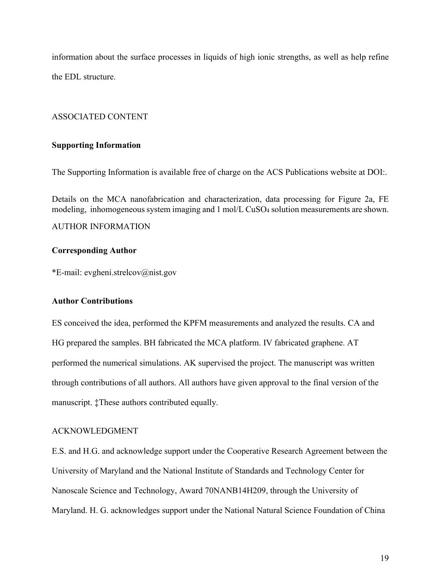information about the surface processes in liquids of high ionic strengths, as well as help refine the EDL structure.

## ASSOCIATED CONTENT

### **Supporting Information**

The Supporting Information is available free of charge on the ACS Publications website at DOI:.

Details on the MCA nanofabrication and characterization, data processing for Figure 2a, FE modeling, inhomogeneous system imaging and 1 mol/L CuSO<sup>4</sup> solution measurements are shown.

#### AUTHOR INFORMATION

#### **Corresponding Author**

\*E-mail: evgheni.strelcov@nist.gov

#### **Author Contributions**

ES conceived the idea, performed the KPFM measurements and analyzed the results. CA and HG prepared the samples. BH fabricated the MCA platform. IV fabricated graphene. AT performed the numerical simulations. AK supervised the project. The manuscript was written through contributions of all authors. All authors have given approval to the final version of the manuscript. ‡These authors contributed equally.

#### ACKNOWLEDGMENT

E.S. and H.G. and acknowledge support under the Cooperative Research Agreement between the University of Maryland and the National Institute of Standards and Technology Center for Nanoscale Science and Technology, Award 70NANB14H209, through the University of Maryland. H. G. acknowledges support under the National Natural Science Foundation of China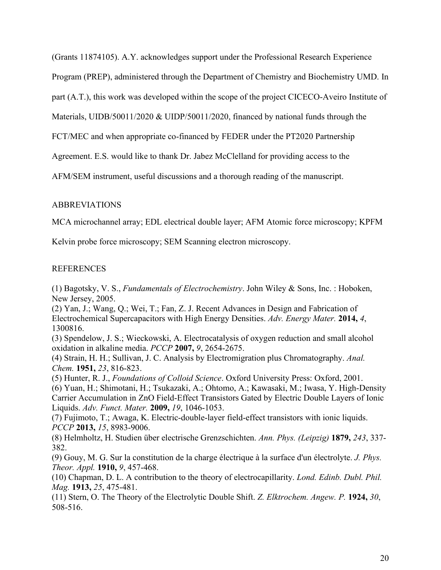(Grants 11874105). A.Y. acknowledges support under the Professional Research Experience

Program (PREP), administered through the Department of Chemistry and Biochemistry UMD. In

part (A.T.), this work was developed within the scope of the project CICECO-Aveiro Institute of

Materials, UIDB/50011/2020 & UIDP/50011/2020, financed by national funds through the

FCT/MEC and when appropriate co-financed by FEDER under the PT2020 Partnership

Agreement. E.S. would like to thank Dr. Jabez McClelland for providing access to the

AFM/SEM instrument, useful discussions and a thorough reading of the manuscript.

#### ABBREVIATIONS

MCA microchannel array; EDL electrical double layer; AFM Atomic force microscopy; KPFM

Kelvin probe force microscopy; SEM Scanning electron microscopy.

## REFERENCES

(1) Bagotsky, V. S., *Fundamentals of Electrochemistry*. John Wiley & Sons, Inc. : Hoboken, New Jersey, 2005.

(2) Yan, J.; Wang, Q.; Wei, T.; Fan, Z. J. Recent Advances in Design and Fabrication of Electrochemical Supercapacitors with High Energy Densities. *Adv. Energy Mater.* **2014,** *4*, 1300816.

(3) Spendelow, J. S.; Wieckowski, A. Electrocatalysis of oxygen reduction and small alcohol oxidation in alkaline media. *PCCP* **2007,** *9*, 2654-2675.

(4) Strain, H. H.; Sullivan, J. C. Analysis by Electromigration plus Chromatography. *Anal. Chem.* **1951,** *23*, 816-823.

(5) Hunter, R. J., *Foundations of Colloid Science*. Oxford University Press: Oxford, 2001.

(6) Yuan, H.; Shimotani, H.; Tsukazaki, A.; Ohtomo, A.; Kawasaki, M.; Iwasa, Y. High-Density Carrier Accumulation in ZnO Field-Effect Transistors Gated by Electric Double Layers of Ionic Liquids. *Adv. Funct. Mater.* **2009,** *19*, 1046-1053.

(7) Fujimoto, T.; Awaga, K. Electric-double-layer field-effect transistors with ionic liquids. *PCCP* **2013,** *15*, 8983-9006.

(8) Helmholtz, H. Studien über electrische Grenzschichten. *Ann. Phys. (Leipzig)* **1879,** *243*, 337- 382.

(9) Gouy, M. G. Sur la constitution de la charge électrique à la surface d'un électrolyte. *J. Phys. Theor. Appl.* **1910,** *9*, 457-468.

(10) Chapman, D. L. A contribution to the theory of electrocapillarity. *Lond. Edinb. Dubl. Phil. Mag.* **1913,** *25*, 475-481.

(11) Stern, O. The Theory of the Electrolytic Double Shift. *Z. Elktrochem. Angew. P.* **1924,** *30*, 508-516.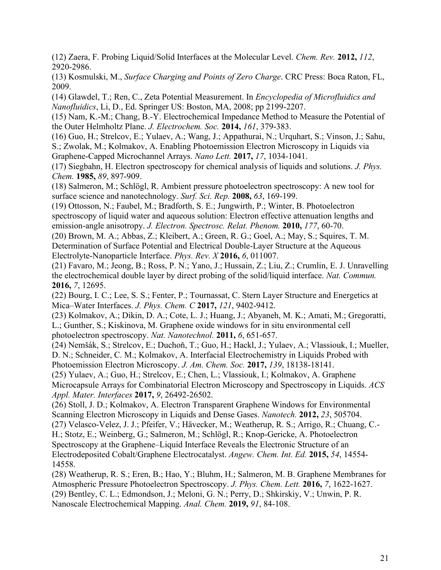(12) Zaera, F. Probing Liquid/Solid Interfaces at the Molecular Level. *Chem. Rev.* **2012,** *112*, 2920-2986.

(13) Kosmulski, M., *Surface Charging and Points of Zero Charge*. CRC Press: Boca Raton, FL, 2009.

(14) Glawdel, T.; Ren, C., Zeta Potential Measurement. In *Encyclopedia of Microfluidics and Nanofluidics*, Li, D., Ed. Springer US: Boston, MA, 2008; pp 2199-2207.

(15) Nam, K.-M.; Chang, B.-Y. Electrochemical Impedance Method to Measure the Potential of the Outer Helmholtz Plane. *J. Electrochem. Soc.* **2014,** *161*, 379-383.

(16) Guo, H.; Strelcov, E.; Yulaev, A.; Wang, J.; Appathurai, N.; Urquhart, S.; Vinson, J.; Sahu, S.; Zwolak, M.; Kolmakov, A. Enabling Photoemission Electron Microscopy in Liquids via Graphene-Capped Microchannel Arrays. *Nano Lett.* **2017,** *17*, 1034-1041.

(17) Siegbahn, H. Electron spectroscopy for chemical analysis of liquids and solutions. *J. Phys. Chem.* **1985,** *89*, 897-909.

(18) Salmeron, M.; Schlögl, R. Ambient pressure photoelectron spectroscopy: A new tool for surface science and nanotechnology. *Surf. Sci. Rep.* **2008,** *63*, 169-199.

(19) Ottosson, N.; Faubel, M.; Bradforth, S. E.; Jungwirth, P.; Winter, B. Photoelectron spectroscopy of liquid water and aqueous solution: Electron effective attenuation lengths and emission-angle anisotropy. *J. Electron. Spectrosc. Relat. Phenom.* **2010,** *177*, 60-70.

(20) Brown, M. A.; Abbas, Z.; Kleibert, A.; Green, R. G.; Goel, A.; May, S.; Squires, T. M. Determination of Surface Potential and Electrical Double-Layer Structure at the Aqueous Electrolyte-Nanoparticle Interface. *Phys. Rev. X* **2016,** *6*, 011007.

(21) Favaro, M.; Jeong, B.; Ross, P. N.; Yano, J.; Hussain, Z.; Liu, Z.; Crumlin, E. J. Unravelling the electrochemical double layer by direct probing of the solid/liquid interface. *Nat. Commun.*  **2016,** *7*, 12695.

(22) Bourg, I. C.; Lee, S. S.; Fenter, P.; Tournassat, C. Stern Layer Structure and Energetics at Mica–Water Interfaces. *J. Phys. Chem. C* **2017,** *121*, 9402-9412.

(23) Kolmakov, A.; Dikin, D. A.; Cote, L. J.; Huang, J.; Abyaneh, M. K.; Amati, M.; Gregoratti, L.; Gunther, S.; Kiskinova, M. Graphene oxide windows for in situ environmental cell photoelectron spectroscopy. *Nat. Nanotechnol.* **2011,** *6*, 651-657.

(24) Nemšák, S.; Strelcov, E.; Duchoň, T.; Guo, H.; Hackl, J.; Yulaev, A.; Vlassiouk, I.; Mueller, D. N.; Schneider, C. M.; Kolmakov, A. Interfacial Electrochemistry in Liquids Probed with Photoemission Electron Microscopy. *J. Am. Chem. Soc.* **2017,** *139*, 18138-18141.

(25) Yulaev, A.; Guo, H.; Strelcov, E.; Chen, L.; Vlassiouk, I.; Kolmakov, A. Graphene Microcapsule Arrays for Combinatorial Electron Microscopy and Spectroscopy in Liquids. *ACS Appl. Mater. Interfaces* **2017,** *9*, 26492-26502.

(26) Stoll, J. D.; Kolmakov, A. Electron Transparent Graphene Windows for Environmental Scanning Electron Microscopy in Liquids and Dense Gases. *Nanotech.* **2012,** *23*, 505704.

(27) Velasco-Velez, J. J.; Pfeifer, V.; Hävecker, M.; Weatherup, R. S.; Arrigo, R.; Chuang, C.- H.; Stotz, E.; Weinberg, G.; Salmeron, M.; Schlögl, R.; Knop-Gericke, A. Photoelectron Spectroscopy at the Graphene–Liquid Interface Reveals the Electronic Structure of an Electrodeposited Cobalt/Graphene Electrocatalyst. *Angew. Chem. Int. Ed.* **2015,** *54*, 14554- 14558.

(28) Weatherup, R. S.; Eren, B.; Hao, Y.; Bluhm, H.; Salmeron, M. B. Graphene Membranes for Atmospheric Pressure Photoelectron Spectroscopy. *J. Phys. Chem. Lett.* **2016,** *7*, 1622-1627. (29) Bentley, C. L.; Edmondson, J.; Meloni, G. N.; Perry, D.; Shkirskiy, V.; Unwin, P. R. Nanoscale Electrochemical Mapping. *Anal. Chem.* **2019,** *91*, 84-108.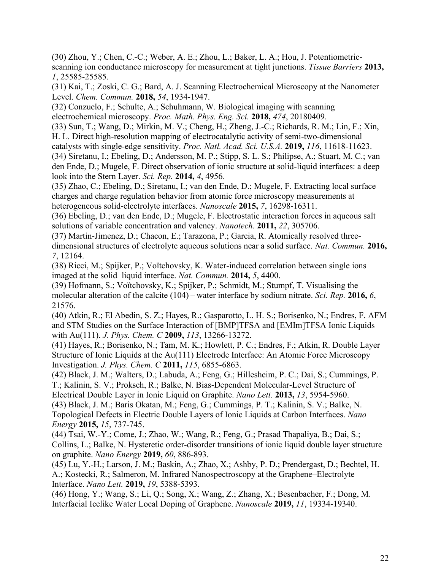(30) Zhou, Y.; Chen, C.-C.; Weber, A. E.; Zhou, L.; Baker, L. A.; Hou, J. Potentiometricscanning ion conductance microscopy for measurement at tight junctions. *Tissue Barriers* **2013,** *1*, 25585-25585.

(31) Kai, T.; Zoski, C. G.; Bard, A. J. Scanning Electrochemical Microscopy at the Nanometer Level. *Chem. Commun.* **2018,** *54*, 1934-1947.

(32) Conzuelo, F.; Schulte, A.; Schuhmann, W. Biological imaging with scanning electrochemical microscopy. *Proc. Math. Phys. Eng. Sci.* **2018,** *474*, 20180409.

(33) Sun, T.; Wang, D.; Mirkin, M. V.; Cheng, H.; Zheng, J.-C.; Richards, R. M.; Lin, F.; Xin, H. L. Direct high-resolution mapping of electrocatalytic activity of semi-two-dimensional

catalysts with single-edge sensitivity. *Proc. Natl. Acad. Sci. U.S.A.* **2019,** *116*, 11618-11623. (34) Siretanu, I.; Ebeling, D.; Andersson, M. P.; Stipp, S. L. S.; Philipse, A.; Stuart, M. C.; van den Ende, D.; Mugele, F. Direct observation of ionic structure at solid-liquid interfaces: a deep look into the Stern Layer. *Sci. Rep.* **2014,** *4*, 4956.

(35) Zhao, C.; Ebeling, D.; Siretanu, I.; van den Ende, D.; Mugele, F. Extracting local surface charges and charge regulation behavior from atomic force microscopy measurements at heterogeneous solid-electrolyte interfaces. *Nanoscale* **2015,** *7*, 16298-16311.

(36) Ebeling, D.; van den Ende, D.; Mugele, F. Electrostatic interaction forces in aqueous salt solutions of variable concentration and valency. *Nanotech.* **2011,** *22*, 305706.

(37) Martin-Jimenez, D.; Chacon, E.; Tarazona, P.; Garcia, R. Atomically resolved threedimensional structures of electrolyte aqueous solutions near a solid surface. *Nat. Commun.* **2016,** *7*, 12164.

(38) Ricci, M.; Spijker, P.; Voïtchovsky, K. Water-induced correlation between single ions imaged at the solid–liquid interface. *Nat. Commun.* **2014,** *5*, 4400.

(39) Hofmann, S.; Voïtchovsky, K.; Spijker, P.; Schmidt, M.; Stumpf, T. Visualising the molecular alteration of the calcite (104) – water interface by sodium nitrate. *Sci. Rep.* **2016,** *6*, 21576.

(40) Atkin, R.; El Abedin, S. Z.; Hayes, R.; Gasparotto, L. H. S.; Borisenko, N.; Endres, F. AFM and STM Studies on the Surface Interaction of [BMP]TFSA and [EMIm]TFSA Ionic Liquids with Au(111). *J. Phys. Chem. C* **2009,** *113*, 13266-13272.

(41) Hayes, R.; Borisenko, N.; Tam, M. K.; Howlett, P. C.; Endres, F.; Atkin, R. Double Layer Structure of Ionic Liquids at the Au(111) Electrode Interface: An Atomic Force Microscopy Investigation. *J. Phys. Chem. C* **2011,** *115*, 6855-6863.

(42) Black, J. M.; Walters, D.; Labuda, A.; Feng, G.; Hillesheim, P. C.; Dai, S.; Cummings, P. T.; Kalinin, S. V.; Proksch, R.; Balke, N. Bias-Dependent Molecular-Level Structure of Electrical Double Layer in Ionic Liquid on Graphite. *Nano Lett.* **2013,** *13*, 5954-5960.

(43) Black, J. M.; Baris Okatan, M.; Feng, G.; Cummings, P. T.; Kalinin, S. V.; Balke, N. Topological Defects in Electric Double Layers of Ionic Liquids at Carbon Interfaces. *Nano Energy* **2015,** *15*, 737-745.

(44) Tsai, W.-Y.; Come, J.; Zhao, W.; Wang, R.; Feng, G.; Prasad Thapaliya, B.; Dai, S.; Collins, L.; Balke, N. Hysteretic order-disorder transitions of ionic liquid double layer structure on graphite. *Nano Energy* **2019,** *60*, 886-893.

(45) Lu, Y.-H.; Larson, J. M.; Baskin, A.; Zhao, X.; Ashby, P. D.; Prendergast, D.; Bechtel, H. A.; Kostecki, R.; Salmeron, M. Infrared Nanospectroscopy at the Graphene–Electrolyte Interface. *Nano Lett.* **2019,** *19*, 5388-5393.

(46) Hong, Y.; Wang, S.; Li, Q.; Song, X.; Wang, Z.; Zhang, X.; Besenbacher, F.; Dong, M. Interfacial Icelike Water Local Doping of Graphene. *Nanoscale* **2019,** *11*, 19334-19340.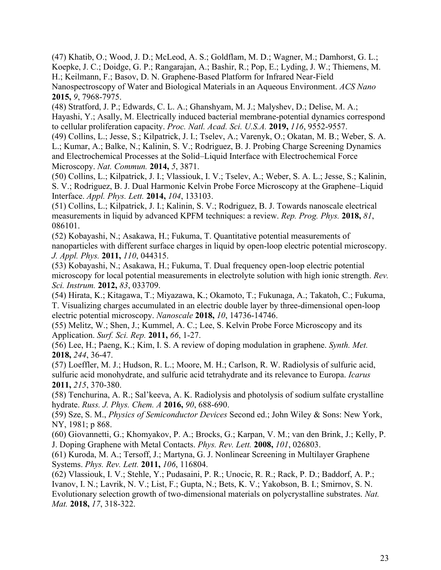(47) Khatib, O.; Wood, J. D.; McLeod, A. S.; Goldflam, M. D.; Wagner, M.; Damhorst, G. L.; Koepke, J. C.; Doidge, G. P.; Rangarajan, A.; Bashir, R.; Pop, E.; Lyding, J. W.; Thiemens, M. H.; Keilmann, F.; Basov, D. N. Graphene-Based Platform for Infrared Near-Field Nanospectroscopy of Water and Biological Materials in an Aqueous Environment. *ACS Nano*  **2015,** *9*, 7968-7975.

(48) Stratford, J. P.; Edwards, C. L. A.; Ghanshyam, M. J.; Malyshev, D.; Delise, M. A.; Hayashi, Y.; Asally, M. Electrically induced bacterial membrane-potential dynamics correspond to cellular proliferation capacity. *Proc. Natl. Acad. Sci. U.S.A.* **2019,** *116*, 9552-9557.

(49) Collins, L.; Jesse, S.; Kilpatrick, J. I.; Tselev, A.; Varenyk, O.; Okatan, M. B.; Weber, S. A. L.; Kumar, A.; Balke, N.; Kalinin, S. V.; Rodriguez, B. J. Probing Charge Screening Dynamics and Electrochemical Processes at the Solid–Liquid Interface with Electrochemical Force Microscopy. *Nat. Commun.* **2014,** *5*, 3871.

(50) Collins, L.; Kilpatrick, J. I.; Vlassiouk, I. V.; Tselev, A.; Weber, S. A. L.; Jesse, S.; Kalinin, S. V.; Rodriguez, B. J. Dual Harmonic Kelvin Probe Force Microscopy at the Graphene–Liquid Interface. *Appl. Phys. Lett.* **2014,** *104*, 133103.

(51) Collins, L.; Kilpatrick, J. I.; Kalinin, S. V.; Rodriguez, B. J. Towards nanoscale electrical measurements in liquid by advanced KPFM techniques: a review. *Rep. Prog. Phys.* **2018,** *81*, 086101.

(52) Kobayashi, N.; Asakawa, H.; Fukuma, T. Quantitative potential measurements of nanoparticles with different surface charges in liquid by open-loop electric potential microscopy. *J. Appl. Phys.* **2011,** *110*, 044315.

(53) Kobayashi, N.; Asakawa, H.; Fukuma, T. Dual frequency open-loop electric potential microscopy for local potential measurements in electrolyte solution with high ionic strength. *Rev. Sci. Instrum.* **2012,** *83*, 033709.

(54) Hirata, K.; Kitagawa, T.; Miyazawa, K.; Okamoto, T.; Fukunaga, A.; Takatoh, C.; Fukuma, T. Visualizing charges accumulated in an electric double layer by three-dimensional open-loop electric potential microscopy. *Nanoscale* **2018,** *10*, 14736-14746.

(55) Melitz, W.; Shen, J.; Kummel, A. C.; Lee, S. Kelvin Probe Force Microscopy and its Application. *Surf. Sci. Rep.* **2011,** *66*, 1-27.

(56) Lee, H.; Paeng, K.; Kim, I. S. A review of doping modulation in graphene. *Synth. Met.*  **2018,** *244*, 36-47.

(57) Loeffler, M. J.; Hudson, R. L.; Moore, M. H.; Carlson, R. W. Radiolysis of sulfuric acid, sulfuric acid monohydrate, and sulfuric acid tetrahydrate and its relevance to Europa. *Icarus*  **2011,** *215*, 370-380.

(58) Tenchurina, A. R.; Sal'keeva, A. K. Radiolysis and photolysis of sodium sulfate crystalline hydrate. *Russ. J. Phys. Chem. A* **2016,** *90*, 688-690.

(59) Sze, S. M., *Physics of Semiconductor Devices* Second ed.; John Wiley & Sons: New York, NY, 1981; p 868.

(60) Giovannetti, G.; Khomyakov, P. A.; Brocks, G.; Karpan, V. M.; van den Brink, J.; Kelly, P. J. Doping Graphene with Metal Contacts. *Phys. Rev. Lett.* **2008,** *101*, 026803.

(61) Kuroda, M. A.; Tersoff, J.; Martyna, G. J. Nonlinear Screening in Multilayer Graphene Systems. *Phys. Rev. Lett.* **2011,** *106*, 116804.

(62) Vlassiouk, I. V.; Stehle, Y.; Pudasaini, P. R.; Unocic, R. R.; Rack, P. D.; Baddorf, A. P.; Ivanov, I. N.; Lavrik, N. V.; List, F.; Gupta, N.; Bets, K. V.; Yakobson, B. I.; Smirnov, S. N. Evolutionary selection growth of two-dimensional materials on polycrystalline substrates. *Nat. Mat.* **2018,** *17*, 318-322.